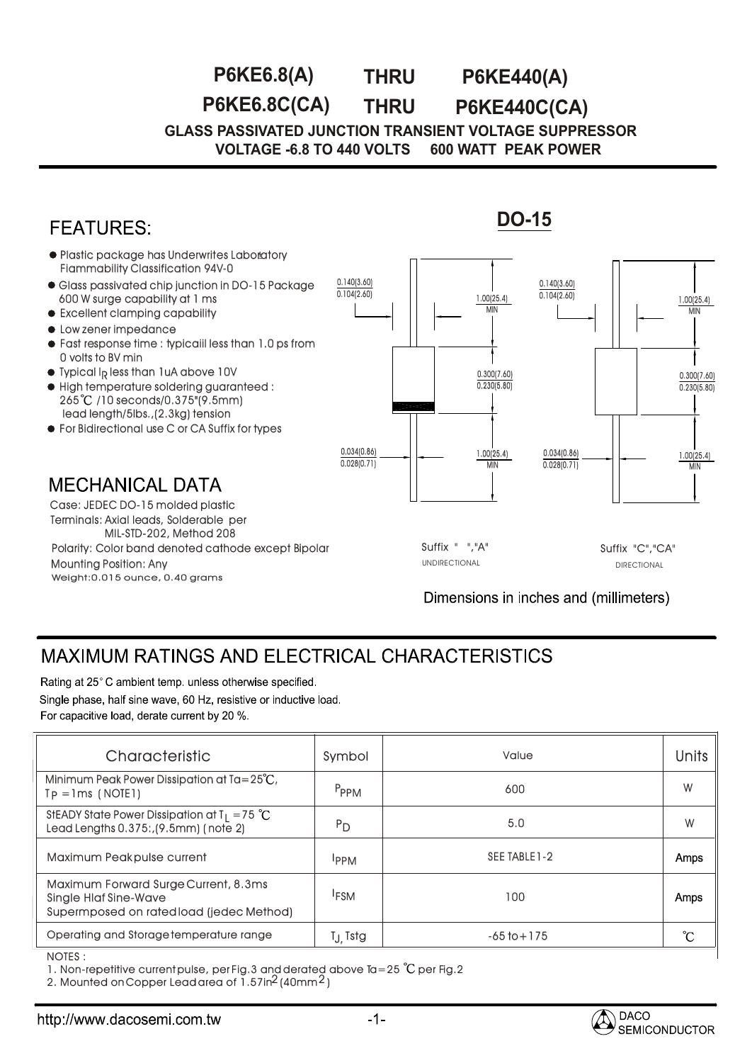## **THRU P6KE6.8C(CA) P6KE440C(CA) P6KE6.8(A) THRU P6KE440(A)**

**GLASS PASSIVATED JUNCTION TRANSIENT VOLTAGE SUPPRESSOR VOLTAGE -6.8 TO 440 VOLTS 600 WATT PEAK POWER** 



## MAXIMUM RATINGS AND ELECTRICAL CHARACTERISTICS

Rating at 25°C ambient temp, unless otherwise specified.

Single phase, half sine wave, 60 Hz, resistive or inductive load.

For capacitive load, derate current by 20 %.

| Characteristic                                                                                                   | Symbol              | Value           | <b>Units</b> |
|------------------------------------------------------------------------------------------------------------------|---------------------|-----------------|--------------|
| Minimum Peak Power Dissipation at $Ta = 25^{\circ}C$ ,<br>$Tp = Ims$ (NOTE1)                                     | P <sub>PPM</sub>    | 600             | W            |
| StEADY State Power Dissipation at $T_1 = 75$ °C<br>Lead Lengths 0.375:, (9.5mm) (note 2)                         | $P_{D}$             | 5.0             | W            |
| Maximum Peakpulse current                                                                                        | <b>IPPM</b>         | SEE TABLE 1-2   | Amps         |
| Maximum Forward Surge Current, 8.3ms<br><b>Single Hlaf Sine-Wave</b><br>Supermposed on rated load (jedec Method) | <sup>I</sup> FSM    | 100             | Amps         |
| Operating and Storage temperature range                                                                          | T <sub>J</sub> Tstg | $-65$ to $+175$ | °C           |
| NOTES ·                                                                                                          |                     |                 |              |

NOTES : :

1. Non-repetitive current pulse, per Fig.3 and derated above Ta=25  $^{\circ}$ C per Fig.2

2. Mounted on Copper Lead area of  $1.5$ 7in $^2$  (40mm $^2$ )

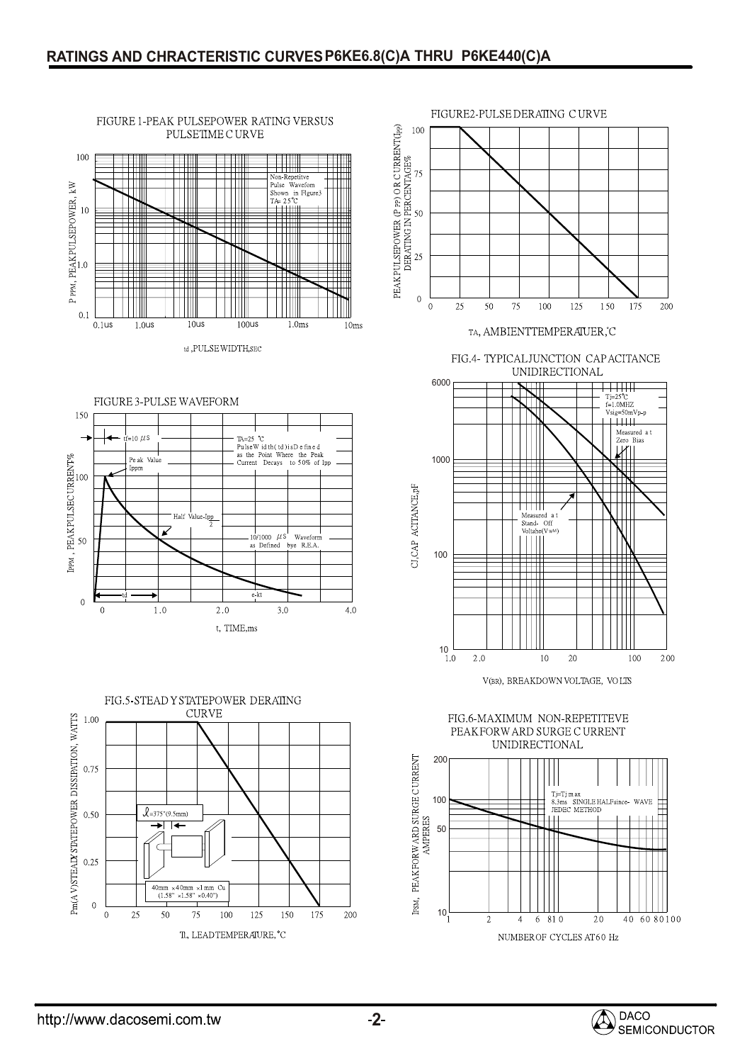









TA, AMBIENTTEMPERAIUER, C

FIG.4- TYPICALJUNCTION CAPACITANCE UNIDIRECTIONAL



V(BR), BREAKDOWN VOLTAGE, VOLTS

FIG.6-MAXIMUM NON-REPETITEVE PEAKFORW ARD SURGE CURRENT **UNIDIRECTIONAL**  $200$ Ш Tj=Tj m ax<br>8.3ms SINGLE HALF since<br>JEDEC METHOD 100 WAVE ⋣ 50─  $\Box$ 



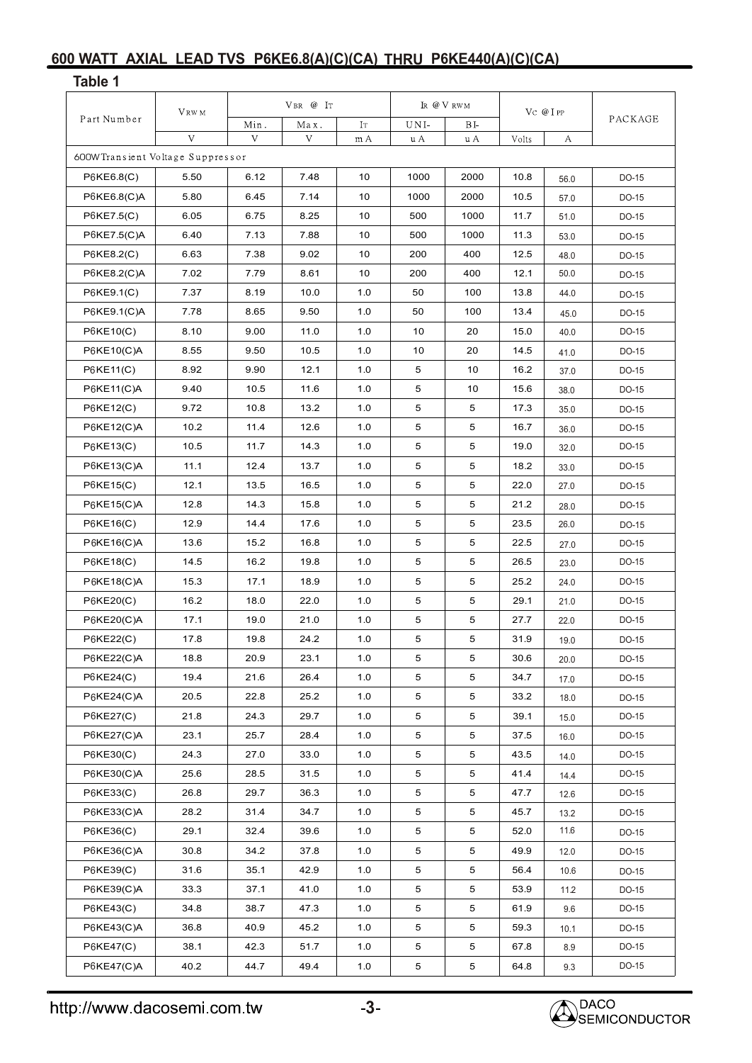## **600 WATT AXIAL LEAD TVS P6KE6.8(A)(C)(CA) THRU P6KE440(A)(C)(CA) Table 1**

| Part Number                       | VRW M | $V$ BR $@$ IT |      |     | IR @ V RWM  |            | $VC$ $@I$ $PP$ |      |         |
|-----------------------------------|-------|---------------|------|-----|-------------|------------|----------------|------|---------|
|                                   |       | Min.          | Max. | IT  | UNI-        | BI.        |                |      | PACKAGE |
|                                   | V     | V             | V    | m A | u A         | u A        | Volts          | А    |         |
| 600W Transient Voltage Suppressor |       |               |      |     |             |            |                |      |         |
| P6KE6.8(C)                        | 5.50  | 6.12          | 7.48 | 10  | 1000        | 2000       | 10.8           | 56.0 | DO-15   |
| P6KE6.8(C)A                       | 5.80  | 6.45          | 7.14 | 10  | 1000        | 2000       | 10.5           | 57.0 | DO-15   |
| P6KE7.5(C)                        | 6.05  | 6.75          | 8.25 | 10  | 500         | 1000       | 11.7           | 51.0 | DO-15   |
| P6KE7.5(C)A                       | 6.40  | 7.13          | 7.88 | 10  | 500         | 1000       | 11.3           | 53.0 | DO-15   |
| P6KE8.2(C)                        | 6.63  | 7.38          | 9.02 | 10  | 200         | 400        | 12.5           | 48.0 | DO-15   |
| P6KE8.2(C)A                       | 7.02  | 7.79          | 8.61 | 10  | 200         | 400        | 12.1           | 50.0 | DO-15   |
| P6KE9.1(C)                        | 7.37  | 8.19          | 10.0 | 1.0 | 50          | 100        | 13.8           | 44.0 | DO-15   |
| P6KE9.1(C)A                       | 7.78  | 8.65          | 9.50 | 1.0 | 50          | 100        | 13.4           | 45.0 | DO-15   |
| P6KE10(C)                         | 8.10  | 9.00          | 11.0 | 1.0 | 10          | 20         | 15.0           | 40.0 | DO-15   |
| $P6KE10(C)$ A                     | 8.55  | 9.50          | 10.5 | 1.0 | 10          | 20         | 14.5           | 41.0 | DO-15   |
| P6KE11(C)                         | 8.92  | 9.90          | 12.1 | 1.0 | 5           | 10         | 16.2           | 37.0 | DO-15   |
| $P6$ KE11(C)A                     | 9.40  | 10.5          | 11.6 | 1.0 | 5           | 10         | 15.6           | 38.0 | DO-15   |
| P6KE12(C)                         | 9.72  | 10.8          | 13.2 | 1.0 | 5           | 5          | 17.3           | 35.0 | DO-15   |
| P6KE12(C)A                        | 10.2  | 11.4          | 12.6 | 1.0 | 5           | 5          | 16.7           | 36.0 | DO-15   |
| P6KE13(C)                         | 10.5  | 11.7          | 14.3 | 1.0 | 5           | 5          | 19.0           | 32.0 | DO-15   |
| P6KE13(C)A                        | 11.1  | 12.4          | 13.7 | 1.0 | 5           | 5          | 18.2           | 33.0 | DO-15   |
| P6KE15(C)                         | 12.1  | 13.5          | 16.5 | 1.0 | 5           | 5          | 22.0           | 27.0 | DO-15   |
| $P6$ KE15(C)A                     | 12.8  | 14.3          | 15.8 | 1.0 | 5           | 5          | 21.2           | 28.0 | DO-15   |
| P6KE16(C)                         | 12.9  | 14.4          | 17.6 | 1.0 | 5           | 5          | 23.5           | 26.0 | DO-15   |
| $P6KE16(C)$ A                     | 13.6  | 15.2          | 16.8 | 1.0 | 5           | 5          | 22.5           | 27.0 | DO-15   |
| P6KE18(C)                         | 14.5  | 16.2          | 19.8 | 1.0 | 5           | 5          | 26.5           | 23.0 | DO-15   |
| $P6$ KE18(C)A                     | 15.3  | 17.1          | 18.9 | 1.0 | 5           | 5          | 25.2           | 24.0 | DO-15   |
| P6KE20(C)                         | 16.2  | 18.0          | 22.0 | 1.0 | 5           | 5          | 29.1           | 21.0 | DO-15   |
| $P6$ KE20(C)A                     | 17.1  | 19.0          | 21.0 | 1.0 | 5           | $\sqrt{5}$ | 27.7           | 22.0 | DO-15   |
| P6KE22(C)                         | 17.8  | 19.8          | 24.2 | 1.0 | 5           | $\sqrt{5}$ | 31.9           | 19.0 | DO-15   |
| P6KE22(C)A                        | 18.8  | 20.9          | 23.1 | 1.0 | 5           | 5          | 30.6           | 20.0 | DO-15   |
| P6KE24(C)                         | 19.4  | 21.6          | 26.4 | 1.0 | 5           | 5          | 34.7           | 17.0 | DO-15   |
| $P6$ KE24(C)A                     | 20.5  | 22.8          | 25.2 | 1.0 | 5           | 5          | 33.2           | 18.0 | DO-15   |
| P6KE27(C)                         | 21.8  | 24.3          | 29.7 | 1.0 | 5           | 5          | 39.1           | 15.0 | DO-15   |
| P6KE27(C)A                        | 23.1  | 25.7          | 28.4 | 1.0 | 5           | 5          | 37.5           | 16.0 | DO-15   |
| P6KE30(C)                         | 24.3  | 27.0          | 33.0 | 1.0 | 5           | 5          | 43.5           | 14.0 | DO-15   |
| P6KE30(C)A                        | 25.6  | 28.5          | 31.5 | 1.0 | $\,$ 5 $\,$ | 5          | 41.4           | 14.4 | DO-15   |
| P6KE33(C)                         | 26.8  | 29.7          | 36.3 | 1.0 | 5           | 5          | 47.7           | 12.6 | DO-15   |
| P6KE33(C)A                        | 28.2  | 31.4          | 34.7 | 1.0 | 5           | 5          | 45.7           | 13.2 | DO-15   |
| P6KE36(C)                         | 29.1  | 32.4          | 39.6 | 1.0 | 5           | 5          | 52.0           | 11.6 | DO-15   |
| P6KE36(C)A                        | 30.8  | 34.2          | 37.8 | 1.0 | 5           | 5          | 49.9           | 12.0 | DO-15   |
| P6KE39(C)                         | 31.6  | 35.1          | 42.9 | 1.0 | 5           | 5          | 56.4           | 10.6 | DO-15   |
| P6KE39(C)A                        | 33.3  | 37.1          | 41.0 | 1.0 | 5           | 5          | 53.9           | 11.2 | DO-15   |
| P6KE43(C)                         | 34.8  | 38.7          | 47.3 | 1.0 | $\,$ 5 $\,$ | 5          | 61.9           | 9.6  | DO-15   |
| P6KE43(C)A                        | 36.8  | 40.9          | 45.2 | 1.0 | 5           | 5          | 59.3           | 10.1 | DO-15   |
| P6KE47(C)                         | 38.1  | 42.3          | 51.7 | 1.0 | 5           | 5          | 67.8           | 8.9  | DO-15   |
|                                   |       |               |      | 1.0 | 5           | 5          | 64.8           |      | DO-15   |